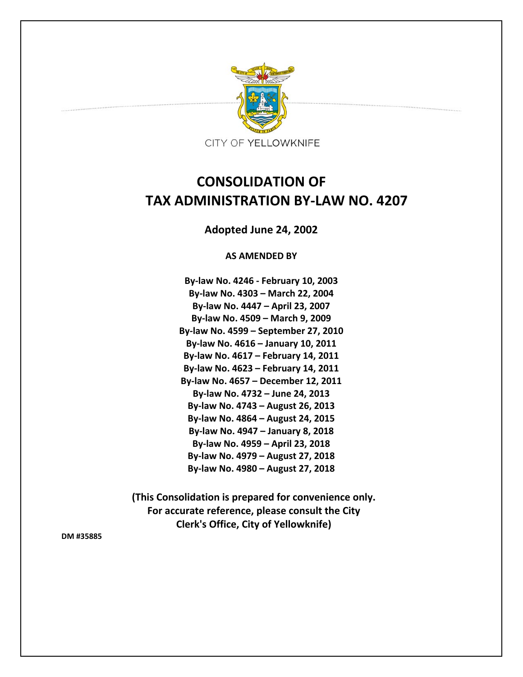

# **CONSOLIDATION OF TAX ADMINISTRATION BY‐LAW NO. 4207**

**Adopted June 24, 2002**

**AS AMENDED BY**

**By‐law No. 4246 ‐ February 10, 2003 By‐law No. 4303 – March 22, 2004 By‐law No. 4447 – April 23, 2007 By‐law No. 4509 – March 9, 2009 By‐law No. 4599 – September 27, 2010 By‐law No. 4616 – January 10, 2011 By‐law No. 4617 – February 14, 2011 By‐law No. 4623 – February 14, 2011 By‐law No. 4657 – December 12, 2011 By‐law No. 4732 – June 24, 2013 By‐law No. 4743 – August 26, 2013 By‐law No. 4864 – August 24, 2015 By‐law No. 4947 – January 8, 2018 By‐law No. 4959 – April 23, 2018 By‐law No. 4979 – August 27, 2018 By‐law No. 4980 – August 27, 2018**

**(This Consolidation is prepared for convenience only. For accurate reference, please consult the City Clerk's Office, City of Yellowknife)**

**DM #35885**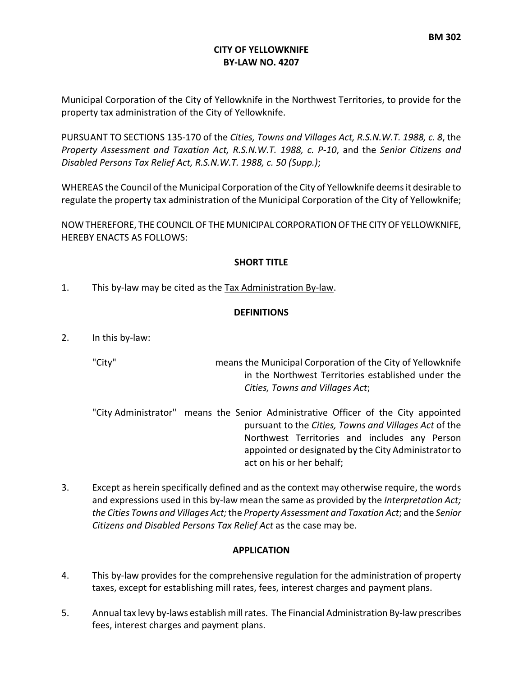#### **CITY OF YELLOWKNIFE BY‐LAW NO. 4207**

Municipal Corporation of the City of Yellowknife in the Northwest Territories, to provide for the property tax administration of the City of Yellowknife.

PURSUANT TO SECTIONS 135‐170 of the *Cities, Towns and Villages Act, R.S.N.W.T. 1988, c. 8*, the *Property Assessment and Taxation Act, R.S.N.W.T. 1988, c. P‐10*, and the *Senior Citizens and Disabled Persons Tax Relief Act, R.S.N.W.T. 1988, c. 50 (Supp.)*;

WHEREAS the Council of the Municipal Corporation of the City of Yellowknife deems it desirable to regulate the property tax administration of the Municipal Corporation of the City of Yellowknife;

NOW THEREFORE, THE COUNCILOF THE MUNICIPAL CORPORATIONOF THE CITYOF YELLOWKNIFE, HEREBY ENACTS AS FOLLOWS:

# **SHORT TITLE**

1. This by‐law may be cited as the Tax Administration By‐law.

# **DEFINITIONS**

2. In this by‐law:

- "City" means the Municipal Corporation of the City of Yellowknife in the Northwest Territories established under the *Cities, Towns and Villages Act*;
- "City Administrator" means the Senior Administrative Officer of the City appointed pursuant to the *Cities, Towns and Villages Act* of the Northwest Territories and includes any Person appointed or designated by the City Administratorto act on his or her behalf;
- 3. Except as herein specifically defined and asthe context may otherwise require, the words and expressions used in this by‐law mean the same as provided by the *Interpretation Act; the Cities Towns and Villages Act;*the *Property Assessment and Taxation Act*; and the *Senior Citizens and Disabled Persons Tax Relief Act* as the case may be.

# **APPLICATION**

- 4. This by‐law provides for the comprehensive regulation for the administration of property taxes, except for establishing mill rates, fees, interest charges and payment plans.
- 5. Annual tax levy by-laws establish mill rates. The Financial Administration By-law prescribes fees, interest charges and payment plans.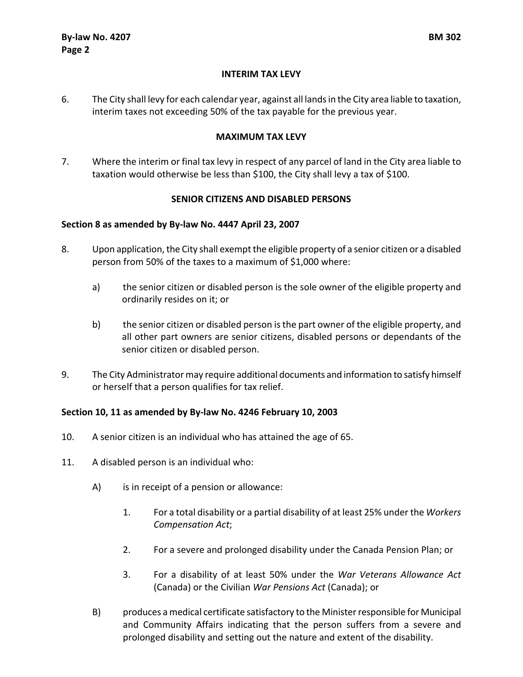## **INTERIM TAX LEVY**

6. The City shall levy for each calendar year, against all landsin the City area liable to taxation, interim taxes not exceeding 50% of the tax payable for the previous year.

## **MAXIMUM TAX LEVY**

7. Where the interim or final tax levy in respect of any parcel of land in the City area liable to taxation would otherwise be less than \$100, the City shall levy a tax of \$100.

## **SENIOR CITIZENS AND DISABLED PERSONS**

## **Section 8 as amended by By‐law No. 4447 April 23, 2007**

- 8. Upon application, the City shall exempt the eligible property of a senior citizen or a disabled person from 50% of the taxes to a maximum of \$1,000 where:
	- a) the senior citizen or disabled person is the sole owner of the eligible property and ordinarily resides on it; or
	- b) the senior citizen or disabled person is the part owner of the eligible property, and all other part owners are senior citizens, disabled persons or dependants of the senior citizen or disabled person.
- 9. The City Administrator may require additional documents and information to satisfy himself or herself that a person qualifies for tax relief.

## **Section 10, 11 as amended by By‐law No. 4246 February 10, 2003**

- 10. A senior citizen is an individual who has attained the age of 65.
- 11. A disabled person is an individual who:
	- A) is in receipt of a pension or allowance:
		- 1. For a total disability or a partial disability of at least 25% under the *Workers Compensation Act*;
		- 2. For a severe and prolonged disability under the Canada Pension Plan; or
		- 3. For a disability of at least 50% under the *War Veterans Allowance Act* (Canada) or the Civilian *War Pensions Act* (Canada); or
	- B) produces a medical certificate satisfactory to the Ministerresponsible for Municipal and Community Affairs indicating that the person suffers from a severe and prolonged disability and setting out the nature and extent of the disability.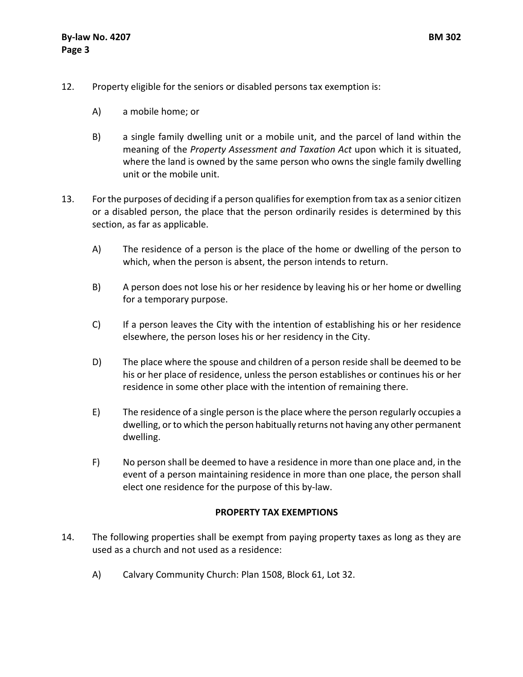- 12. Property eligible for the seniors or disabled persons tax exemption is:
	- A) a mobile home; or
	- B) a single family dwelling unit or a mobile unit, and the parcel of land within the meaning of the *Property Assessment and Taxation Act* upon which it is situated, where the land is owned by the same person who owns the single family dwelling unit or the mobile unit.
- 13. For the purposes of deciding if a person qualifiesfor exemption from tax as a senior citizen or a disabled person, the place that the person ordinarily resides is determined by this section, as far as applicable.
	- A) The residence of a person is the place of the home or dwelling of the person to which, when the person is absent, the person intends to return.
	- B) A person does not lose his or her residence by leaving his or her home or dwelling for a temporary purpose.
	- C) If a person leaves the City with the intention of establishing his or her residence elsewhere, the person loses his or her residency in the City.
	- D) The place where the spouse and children of a person reside shall be deemed to be his or her place of residence, unless the person establishes or continues his or her residence in some other place with the intention of remaining there.
	- E) The residence of a single person isthe place where the person regularly occupies a dwelling, orto which the person habitually returns not having any other permanent dwelling.
	- F) No person shall be deemed to have a residence in more than one place and, in the event of a person maintaining residence in more than one place, the person shall elect one residence for the purpose of this by‐law.

## **PROPERTY TAX EXEMPTIONS**

- 14. The following properties shall be exempt from paying property taxes as long as they are used as a church and not used as a residence:
	- A) Calvary Community Church: Plan 1508, Block 61, Lot 32.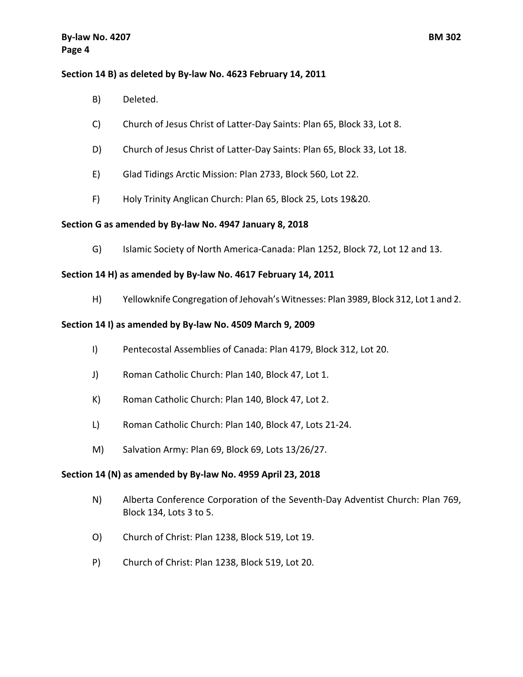#### **Section 14 B) as deleted by By‐law No. 4623 February 14, 2011**

- B) Deleted.
- C) Church of Jesus Christ of Latter‐Day Saints: Plan 65, Block 33, Lot 8.
- D) Church of Jesus Christ of Latter‐Day Saints: Plan 65, Block 33, Lot 18.
- E) Glad Tidings Arctic Mission: Plan 2733, Block 560, Lot 22.
- F) Holy Trinity Anglican Church: Plan 65, Block 25, Lots 19&20.

## **Section G as amended by By‐law No. 4947 January 8, 2018**

G) Islamic Society of North America‐Canada: Plan 1252, Block 72, Lot 12 and 13.

## **Section 14 H) as amended by By‐law No. 4617 February 14, 2011**

H) Yellowknife Congregation of Jehovah's Witnesses: Plan 3989, Block 312, Lot 1 and 2.

## **Section 14 I) as amended by By‐law No. 4509 March 9, 2009**

- I) Pentecostal Assemblies of Canada: Plan 4179, Block 312, Lot 20.
- J) Roman Catholic Church: Plan 140, Block 47, Lot 1.
- K) Roman Catholic Church: Plan 140, Block 47, Lot 2.
- L) Roman Catholic Church: Plan 140, Block 47, Lots 21‐24.
- M) Salvation Army: Plan 69, Block 69, Lots 13/26/27.

## **Section 14 (N) as amended by By‐law No. 4959 April 23, 2018**

- N) Alberta Conference Corporation of the Seventh‐Day Adventist Church: Plan 769, Block 134, Lots 3 to 5.
- O) Church of Christ: Plan 1238, Block 519, Lot 19.
- P) Church of Christ: Plan 1238, Block 519, Lot 20.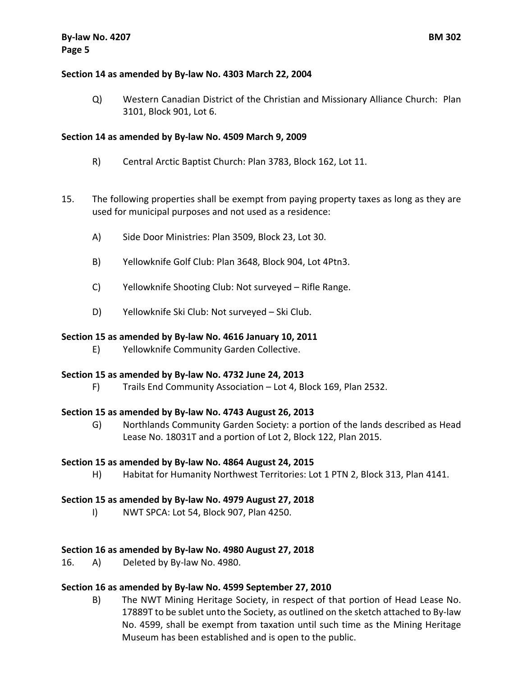#### **Section 14 as amended by By‐law No. 4303 March 22, 2004**

Q) Western Canadian District of the Christian and Missionary Alliance Church: Plan 3101, Block 901, Lot 6.

#### **Section 14 as amended by By‐law No. 4509 March 9, 2009**

- R) Central Arctic Baptist Church: Plan 3783, Block 162, Lot 11.
- 15. The following properties shall be exempt from paying property taxes as long as they are used for municipal purposes and not used as a residence:
	- A) Side Door Ministries: Plan 3509, Block 23, Lot 30.
	- B) Yellowknife Golf Club: Plan 3648, Block 904, Lot 4Ptn3.
	- C) Yellowknife Shooting Club: Not surveyed Rifle Range.
	- D) Yellowknife Ski Club: Not surveyed Ski Club.

## **Section 15 as amended by By‐law No. 4616 January 10, 2011**

E) Yellowknife Community Garden Collective.

## **Section 15 as amended by By‐law No. 4732 June 24, 2013**

F) Trails End Community Association – Lot 4, Block 169, Plan 2532.

## **Section 15 as amended by By‐law No. 4743 August 26, 2013**

G) Northlands Community Garden Society: a portion of the lands described as Head Lease No. 18031T and a portion of Lot 2, Block 122, Plan 2015.

## **Section 15 as amended by By‐law No. 4864 August 24, 2015**

H) Habitat for Humanity Northwest Territories: Lot 1 PTN 2, Block 313, Plan 4141.

#### **Section 15 as amended by By‐law No. 4979 August 27, 2018**

I) NWT SPCA: Lot 54, Block 907, Plan 4250.

## **Section 16 as amended by By‐law No. 4980 August 27, 2018**

16. A) Deleted by By‐law No. 4980.

## **Section 16 as amended by By‐law No. 4599 September 27, 2010**

B) The NWT Mining Heritage Society, in respect of that portion of Head Lease No. 17889T to be sublet unto the Society, as outlined on the sketch attached to By‐law No. 4599, shall be exempt from taxation until such time as the Mining Heritage Museum has been established and is open to the public.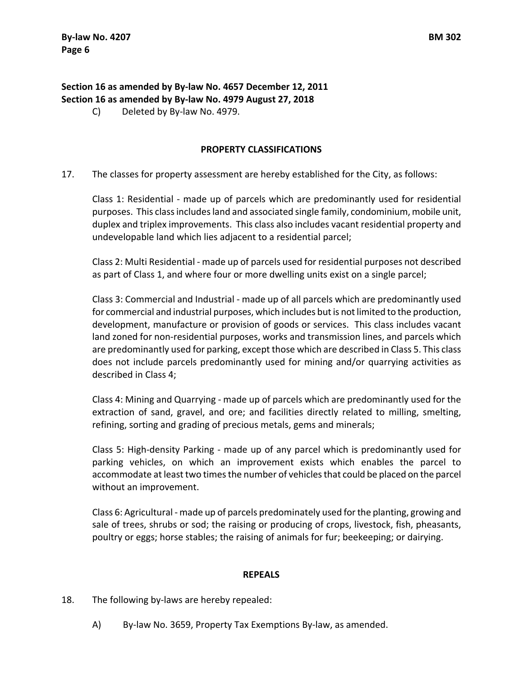## **Section 16 as amended by By‐law No. 4657 December 12, 2011 Section 16 as amended by By‐law No. 4979 August 27, 2018**

C) Deleted by By‐law No. 4979.

## **PROPERTY CLASSIFICATIONS**

17. The classes for property assessment are hereby established for the City, as follows:

Class 1: Residential - made up of parcels which are predominantly used for residential purposes. This classincludesland and associated single family, condominium, mobile unit, duplex and triplex improvements. This class also includes vacant residential property and undevelopable land which lies adjacent to a residential parcel;

Class 2: Multi Residential ‐ made up of parcels used for residential purposes not described as part of Class 1, and where four or more dwelling units exist on a single parcel;

Class 3: Commercial and Industrial ‐ made up of all parcels which are predominantly used for commercial and industrial purposes, which includes but is not limited to the production, development, manufacture or provision of goods or services. This class includes vacant land zoned for non-residential purposes, works and transmission lines, and parcels which are predominantly used for parking, except those which are described in Class 5. This class does not include parcels predominantly used for mining and/or quarrying activities as described in Class 4;

Class 4: Mining and Quarrying ‐ made up of parcels which are predominantly used for the extraction of sand, gravel, and ore; and facilities directly related to milling, smelting, refining, sorting and grading of precious metals, gems and minerals;

Class 5: High‐density Parking ‐ made up of any parcel which is predominantly used for parking vehicles, on which an improvement exists which enables the parcel to accommodate at least two times the number of vehicles that could be placed on the parcel without an improvement.

Class 6: Agricultural ‐ made up of parcels predominately used forthe planting, growing and sale of trees, shrubs or sod; the raising or producing of crops, livestock, fish, pheasants, poultry or eggs; horse stables; the raising of animals for fur; beekeeping; or dairying.

#### **REPEALS**

- 18. The following by‐laws are hereby repealed:
	- A) By-law No. 3659, Property Tax Exemptions By-law, as amended.